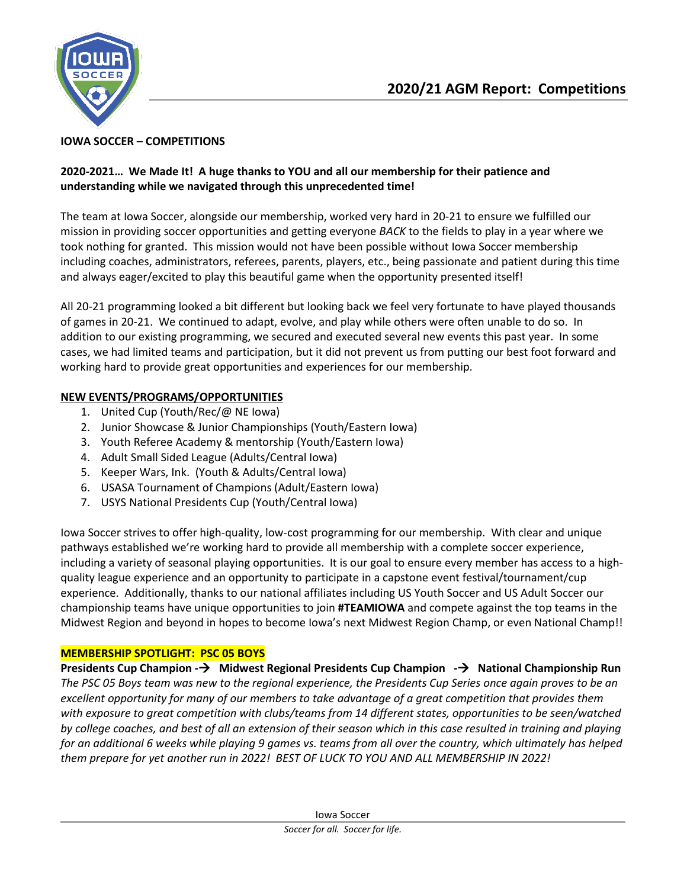

### **IOWA SOCCER – COMPETITIONS**

## **2020-2021… We Made It! A huge thanks to YOU and all our membership for their patience and understanding while we navigated through this unprecedented time!**

The team at Iowa Soccer, alongside our membership, worked very hard in 20-21 to ensure we fulfilled our mission in providing soccer opportunities and getting everyone *BACK* to the fields to play in a year where we took nothing for granted. This mission would not have been possible without Iowa Soccer membership including coaches, administrators, referees, parents, players, etc., being passionate and patient during this time and always eager/excited to play this beautiful game when the opportunity presented itself!

All 20-21 programming looked a bit different but looking back we feel very fortunate to have played thousands of games in 20-21. We continued to adapt, evolve, and play while others were often unable to do so. In addition to our existing programming, we secured and executed several new events this past year. In some cases, we had limited teams and participation, but it did not prevent us from putting our best foot forward and working hard to provide great opportunities and experiences for our membership.

# **NEW EVENTS/PROGRAMS/OPPORTUNITIES**

- 1. United Cup (Youth/Rec/@ NE Iowa)
- 2. Junior Showcase & Junior Championships (Youth/Eastern Iowa)
- 3. Youth Referee Academy & mentorship (Youth/Eastern Iowa)
- 4. Adult Small Sided League (Adults/Central Iowa)
- 5. Keeper Wars, Ink. (Youth & Adults/Central Iowa)
- 6. USASA Tournament of Champions (Adult/Eastern Iowa)
- 7. USYS National Presidents Cup (Youth/Central Iowa)

Iowa Soccer strives to offer high-quality, low-cost programming for our membership. With clear and unique pathways established we're working hard to provide all membership with a complete soccer experience, including a variety of seasonal playing opportunities. It is our goal to ensure every member has access to a highquality league experience and an opportunity to participate in a capstone event festival/tournament/cup experience. Additionally, thanks to our national affiliates including US Youth Soccer and US Adult Soccer our championship teams have unique opportunities to join **#TEAMIOWA** and compete against the top teams in the Midwest Region and beyond in hopes to become Iowa's next Midwest Region Champ, or even National Champ!!

# **MEMBERSHIP SPOTLIGHT: PSC 05 BOYS**

**Presidents Cup Champion - Midwest Regional Presidents Cup Champion - National Championship Run** *The PSC 05 Boys team was new to the regional experience, the Presidents Cup Series once again proves to be an excellent opportunity for many of our members to take advantage of a great competition that provides them with exposure to great competition with clubs/teams from 14 different states, opportunities to be seen/watched by college coaches, and best of all an extension of their season which in this case resulted in training and playing for an additional 6 weeks while playing 9 games vs. teams from all over the country, which ultimately has helped them prepare for yet another run in 2022! BEST OF LUCK TO YOU AND ALL MEMBERSHIP IN 2022!*